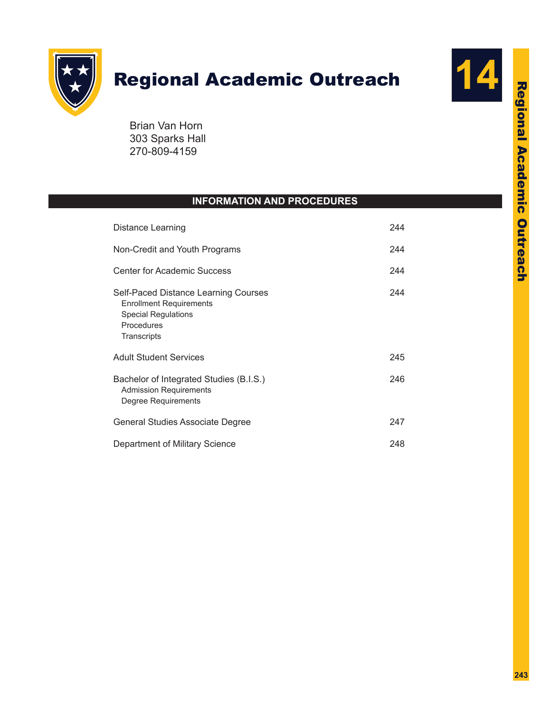

# **Regional Academic Outreach**



Brian Van Horn 303 Sparks Hall 270-809-4159

# **INFORMATION AND PROCEDURES**

| Distance Learning                                                                                                                 | 244 |
|-----------------------------------------------------------------------------------------------------------------------------------|-----|
| Non-Credit and Youth Programs                                                                                                     | 244 |
| Center for Academic Success                                                                                                       | 244 |
| Self-Paced Distance Learning Courses<br><b>Enrollment Requirements</b><br><b>Special Regulations</b><br>Procedures<br>Transcripts | 244 |
| Adult Student Services                                                                                                            | 245 |
| Bachelor of Integrated Studies (B.I.S.)<br><b>Admission Requirements</b><br>Degree Requirements                                   | 246 |
| General Studies Associate Degree                                                                                                  | 247 |
| Department of Military Science                                                                                                    | 248 |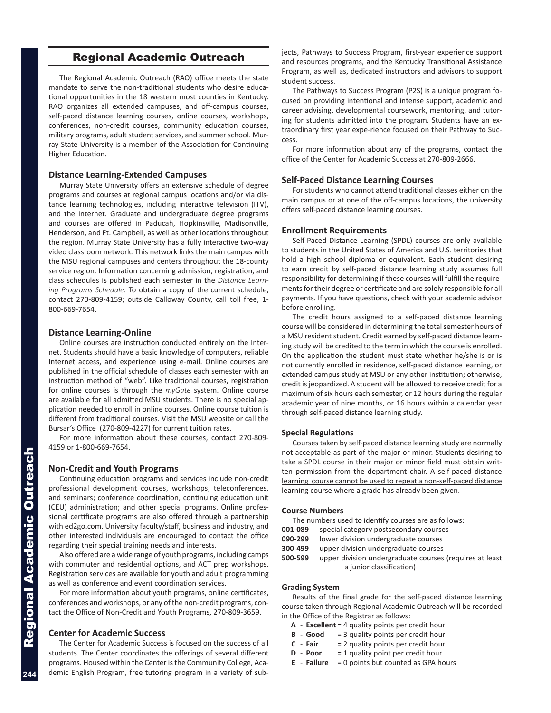## Regional Academic Outreach

The Regional Academic Outreach (RAO) office meets the state mandate to serve the non-traditional students who desire educational opportunities in the 18 western most counties in Kentucky. RAO organizes all extended campuses, and off-campus courses, self-paced distance learning courses, online courses, workshops, conferences, non-credit courses, community education courses, military programs, adult student services, and summer school. Murray State University is a member of the Association for Continuing Higher Education.

#### **Distance Learning-Extended Campuses**

Murray State University offers an extensive schedule of degree programs and courses at regional campus locations and/or via distance learning technologies, including interactive television (ITV), and the Internet. Graduate and undergraduate degree programs and courses are offered in Paducah, Hopkinsville, Madisonville, Henderson, and Ft. Campbell, as well as other locations throughout the region. Murray State University has a fully interactive two-way video classroom network. This network links the main campus with the MSU regional campuses and centers throughout the 18-county service region. Information concerning admission, registration, and class schedules is published each semester in the *Distance Learning Programs Schedule.* To obtain a copy of the current schedule, contact 270-809-4159; outside Calloway County, call toll free, 1- 800-669-7654.

#### **Distance Learning-Online**

Online courses are instruction conducted entirely on the Internet. Students should have a basic knowledge of computers, reliable Internet access, and experience using e-mail. Online courses are published in the official schedule of classes each semester with an instruction method of "web". Like traditional courses, registration for online courses is through the *myGate* system. Online course are available for all admitted MSU students. There is no special application needed to enroll in online courses. Online course tuition is different from traditional courses. Visit the MSU website or call the Bursar's Office (270-809-4227) for current tuition rates.

For more information about these courses, contact 270-809- 4159 or 1-800-669-7654.

#### **Non-Credit and Youth Programs**

Continuing education programs and services include non-credit professional development courses, workshops, teleconferences, and seminars; conference coordination, continuing education unit (CEU) administration; and other special programs. Online professional certificate programs are also offered through a partnership with ed2go.com. University faculty/staff, business and industry, and other interested individuals are encouraged to contact the office regarding their special training needs and interests.

Also offered are a wide range of youth programs, including camps with commuter and residential options, and ACT prep workshops. Registration services are available for youth and adult programming as well as conference and event coordination services.

For more information about youth programs, online certificates, conferences and workshops, or any of the non-credit programs, contact the Office of Non-Credit and Youth Programs, 270-809-3659.

### **Center for Academic Success**

The Center for Academic Success is focused on the success of all students. The Center coordinates the offerings of several different programs. Housed within the Center is the Community College, Academic English Program, free tutoring program in a variety of subjects, Pathways to Success Program, first-year experience support and resources programs, and the Kentucky Transitional Assistance Program, as well as, dedicated instructors and advisors to support student success.

The Pathways to Success Program (P2S) is a unique program focused on providing intentional and intense support, academic and career advising, developmental coursework, mentoring, and tutoring for students admitted into the program. Students have an extraordinary first year expe-rience focused on their Pathway to Success.

For more information about any of the programs, contact the office of the Center for Academic Success at 270-809-2666.

#### **Self-Paced Distance Learning Courses**

For students who cannot attend traditional classes either on the main campus or at one of the off-campus locations, the university offers self-paced distance learning courses.

#### **Enrollment Requirements**

Self-Paced Distance Learning (SPDL) courses are only available to students in the United States of America and U.S. territories that hold a high school diploma or equivalent. Each student desiring to earn credit by self-paced distance learning study assumes full responsibility for determining if these courses will fulfill the requirements for their degree or certificate and are solely responsible for all payments. If you have questions, check with your academic advisor before enrolling.

The credit hours assigned to a self-paced distance learning course will be considered in determining the total semester hours of a MSU resident student. Credit earned by self-paced distance learning study will be credited to the term in which the course is enrolled. On the application the student must state whether he/she is or is not currently enrolled in residence, self-paced distance learning, or extended campus study at MSU or any other institution; otherwise, credit is jeopardized. A student will be allowed to receive credit for a maximum of six hours each semester, or 12 hours during the regular academic year of nine months, or 16 hours within a calendar year through self-paced distance learning study.

#### **Special Regulations**

Courses taken by self-paced distance learning study are normally not acceptable as part of the major or minor. Students desiring to take a SPDL course in their major or minor field must obtain written permission from the department chair. A self-paced distance learning course cannot be used to repeat a non-self-paced distance learning course where a grade has already been given.

#### **Course Numbers**

| The numbers used to identify courses are as follows: |
|------------------------------------------------------|
|------------------------------------------------------|

- **001-089** special category postsecondary courses
- **090-299** lower division undergraduate courses
- **300-499** upper division undergraduate courses
- **500-599** upper division undergraduate courses (requires at least a junior classification)

#### **Grading System**

Results of the final grade for the self-paced distance learning course taken through Regional Academic Outreach will be recorded in the Office of the Registrar as follows:

- **A Excellent** = 4 quality points per credit hour
- **B Good** = 3 quality points per credit hour
- **C Fair** = 2 quality points per credit hour
- **D Poor** = 1 quality point per credit hour
- **E Failure** = 0 points but counted as GPA hours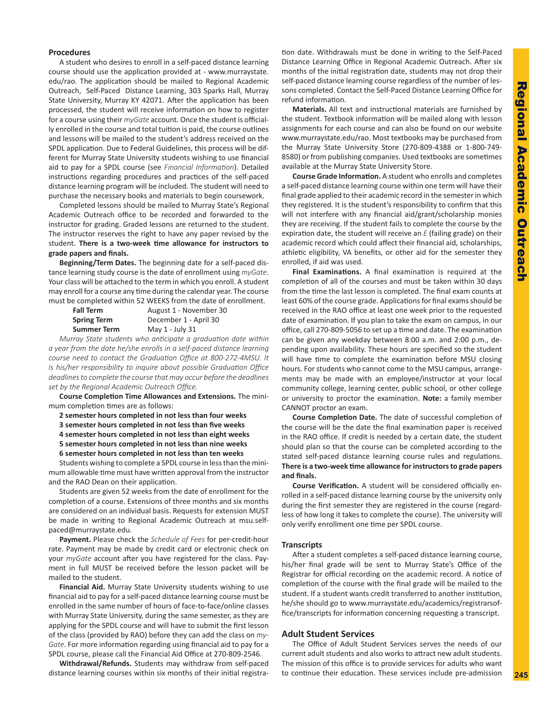#### **Procedures**

A student who desires to enroll in a self-paced distance learning course should use the application provided at - www.murraystate. edu/rao. The application should be mailed to Regional Academic Outreach, Self-Paced Distance Learning, 303 Sparks Hall, Murray State University, Murray KY 42071. After the application has been processed, the student will receive information on how to register for a course using their *myGate* account. Once the student is officially enrolled in the course and total tuition is paid, the course outlines and lessons will be mailed to the student's address received on the SPDL application. Due to Federal Guidelines, this process will be different for Murray State University students wishing to use financial aid to pay for a SPDL course (see *Financial Information*). Detailed instructions regarding procedures and practices of the self-paced distance learning program will be included. The student will need to purchase the necessary books and materials to begin coursework.

Completed lessons should be mailed to Murray State's Regional Academic Outreach office to be recorded and forwarded to the instructor for grading. Graded lessons are returned to the student. The instructor reserves the right to have any paper revised by the student. **There is a two-week time allowance for instructors to grade papers and finals.** 

**Beginning/Term Dates.** The beginning date for a self-paced distance learning study course is the date of enrollment using *myGate*. Your class will be attached to the term in which you enroll. A student may enroll for a course any time during the calendar year. The course must be completed within 52 WEEKS from the date of enrollment.

| <b>Fall Term</b>   | August 1 - November 30 |
|--------------------|------------------------|
| <b>Spring Term</b> | December 1 - April 30  |
| <b>Summer Term</b> | May 1 - July 31        |

*Murray State students who anticipate a graduation date within a year from the date he/she enrolls in a self-paced distance learning course need to contact the Graduation Office at 800-272-4MSU. It is his/her responsibility to inquire about possible Graduation Office deadlines to complete the course that may occur before the deadlines set by the Regional Academic Outreach Office.*

**Course Completion Time Allowances and Extensions.** The minimum completion times are as follows:

- **2 semester hours completed in not less than four weeks**
- **3 semester hours completed in not less than five weeks**
- **4 semester hours completed in not less than eight weeks**
- **5 semester hours completed in not less than nine weeks**
- **6 semester hours completed in not less than ten weeks**

Students wishing to complete a SPDL course in less than the minimum allowable time must have written approval from the instructor and the RAO Dean on their application.

Students are given 52 weeks from the date of enrollment for the completion of a course. Extensions of three months and six months are considered on an individual basis. Requests for extension MUST be made in writing to Regional Academic Outreach at msu.selfpaced@murraystate.edu.

**Payment.** Please check the *Schedule of Fees* for per-credit-hour rate. Payment may be made by credit card or electronic check on your *myGate* account after you have registered for the class. Payment in full MUST be received before the lesson packet will be mailed to the student.

**Financial Aid.** Murray State University students wishing to use financial aid to pay for a self-paced distance learning course must be enrolled in the same number of hours of face-to-face/online classes with Murray State University, during the same semester, as they are applying for the SPDL course and will have to submit the first lesson of the class (provided by RAO) before they can add the class on *my-Gate*. For more information regarding using financial aid to pay for a SPDL course, please call the Financial Aid Office at 270-809-2546.

**Withdrawal/Refunds.** Students may withdraw from self-paced distance learning courses within six months of their initial registration date. Withdrawals must be done in writing to the Self-Paced Distance Learning Office in Regional Academic Outreach. After six months of the initial registration date, students may not drop their self-paced distance learning course regardless of the number of lessons completed. Contact the Self-Paced Distance Learning Office for refund information.

**Materials.** All text and instructional materials are furnished by the student. Textbook information will be mailed along with lesson assignments for each course and can also be found on our website www.murraystate.edu/rao. Most textbooks may be purchased from the Murray State University Store (270-809-4388 or 1-800-749- 8580) or from publishing companies. Used textbooks are sometimes available at the Murray State University Store.

**Course Grade Information.** A student who enrolls and completes a self-paced distance learning course within one term will have their final grade applied to their academic record in the semester in which they registered. It is the student's responsibility to confirm that this will not interfere with any financial aid/grant/scholarship monies they are receiving. If the student fails to complete the course by the expiration date, the student will receive an *E* (failing grade) on their academic record which could affect their financial aid, scholarships, athletic eligibility, VA benefits, or other aid for the semester they enrolled, if aid was used.

**Final Examinations.** A final examination is required at the completion of all of the courses and must be taken within 30 days from the time the last lesson is completed. The final exam counts at least 60% of the course grade. Applications for final exams should be received in the RAO office at least one week prior to the requested date of examination. If you plan to take the exam on campus, in our office, call 270-809-5056 to set up a time and date. The examination can be given any weekday between 8:00 a.m. and 2:00 p.m., depending upon availability. These hours are specified so the student will have time to complete the examination before MSU closing hours. For students who cannot come to the MSU campus, arrangements may be made with an employee/instructor at your local community college, learning center, public school, or other college or university to proctor the examination. **Note:** a family member CANNOT proctor an exam.

**Course Completion Date.** The date of successful completion of the course will be the date the final examination paper is received in the RAO office. If credit is needed by a certain date, the student should plan so that the course can be completed according to the stated self-paced distance learning course rules and regulations. **There is a two-week time allowance for instructors to grade papers and finals.**

**Course Verification.** A student will be considered officially enrolled in a self-paced distance learning course by the university only during the first semester they are registered in the course (regardless of how long it takes to complete the course). The university will only verify enrollment one time per SPDL course.

#### **Transcripts**

After a student completes a self-paced distance learning course, his/her final grade will be sent to Murray State's Office of the Registrar for official recording on the academic record. A notice of completion of the course with the final grade will be mailed to the student. If a student wants credit transferred to another institution, he/she should go to www.murraystate.edu/academics/registrarsoffice/transcripts for information concerning requesting a transcript.

#### **Adult Student Services**

The Office of Adult Student Services serves the needs of our current adult students and also works to attract new adult students. The mission of this office is to provide services for adults who want to continue their education. These services include pre-admission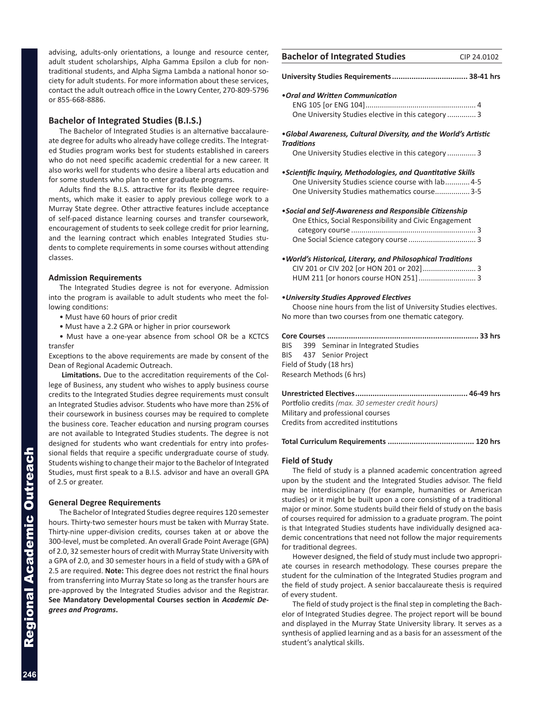advising, adults-only orientations, a lounge and resource center, adult student scholarships, Alpha Gamma Epsilon a club for nor traditional students, and Alpha Sigma Lambda a national honor society for adult students. For more information about these service contact the adult outreach office in the Lowry Center, 270-809-5796 or 855-668-8886.

#### **Bachelor of Integrated Studies (B.I.S.)**

The Bachelor of Integrated Studies is an alternative baccalaure ate degree for adults who already have college credits. The Integration ed Studies program works best for students established in caree who do not need specific academic credential for a new career. also works well for students who desire a liberal arts education are for some students who plan to enter graduate programs.

Adults find the B.I.S. attractive for its flexible degree require ments, which make it easier to apply previous college work to Murray State degree. Other attractive features include acceptand of self-paced distance learning courses and transfer coursework encouragement of students to seek college credit for prior learning, and the learning contract which enables Integrated Studies stu dents to complete requirements in some courses without attendin classes.

#### **Admission Requirements**

The Integrated Studies degree is not for everyone. Admission into the program is available to adult students who meet the fo lowing conditions:

- Must have 60 hours of prior credit
- Must have a 2.2 GPA or higher in prior coursework

• Must have a one-year absence from school OR be a KCTCS transfer

Exceptions to the above requirements are made by consent of the Dean of Regional Academic Outreach.

**Limitations.** Due to the accreditation requirements of the College of Business, any student who wishes to apply business course credits to the Integrated Studies degree requirements must consult an Integrated Studies advisor. Students who have more than 25% of their coursework in business courses may be required to complete the business core. Teacher education and nursing program courses are not available to Integrated Studies students. The degree is not designed for students who want credentials for entry into professional fields that require a specific undergraduate course of study. Students wishing to change their major to the Bachelor of Integrated Studies, must first speak to a B.I.S. advisor and have an overall GPA of 2.5 or greater.

#### **General Degree Requirements**

The Bachelor of Integrated Studies degree requires 120 semester hours. Thirty-two semester hours must be taken with Murray State. Thirty-nine upper-division credits, courses taken at or above the 300-level, must be completed. An overall Grade Point Average (GPA) of 2.0, 32 semester hours of credit with Murray State University with a GPA of 2.0, and 30 semester hours in a field of study with a GPA of 2.5 are required. **Note:** This degree does not restrict the final hours from transferring into Murray State so long as the transfer hours are pre-approved by the Integrated Studies advisor and the Registrar. **See Mandatory Developmental Courses section in** *Academic Degrees and Programs***.**

| <b>Bachelor of Integrated Studies</b>                           | CIP 24.0102 |
|-----------------------------------------------------------------|-------------|
|                                                                 |             |
| • Oral and Written Communication                                |             |
|                                                                 |             |
| One University Studies elective in this category  3             |             |
| .Global Awareness, Cultural Diversity, and the World's Artistic |             |
| <b>Traditions</b>                                               |             |
| One University Studies elective in this category 3              |             |
|                                                                 |             |
| • Scientific Inquiry, Methodologies, and Quantitative Skills    |             |
| One University Studies science course with lab 4-5              |             |
| One University Studies mathematics course 3-5                   |             |
|                                                                 |             |
| • Social and Self-Awareness and Responsible Citizenship         |             |
| One Ethics, Social Responsibility and Civic Engagement          |             |
|                                                                 |             |
|                                                                 |             |
|                                                                 |             |
| . World's Historical, Literary, and Philosophical Traditions    |             |
|                                                                 |             |
| HUM 211 [or honors course HON 251]  3                           |             |
|                                                                 |             |
| • University Studies Approved Electives                         |             |

Choose nine hours from the list of University Studies electives. No more than two courses from one thematic category.

|                          |  | BIS 399 Seminar in Integrated Studies |  |
|--------------------------|--|---------------------------------------|--|
|                          |  | BIS 437 Senior Project                |  |
| Field of Study (18 hrs)  |  |                                       |  |
| Research Methods (6 hrs) |  |                                       |  |
|                          |  |                                       |  |

**Unrestricted Electives.................................................... 46-49 hrs** Portfolio credits *(max. 30 semester credit hours)* Military and professional courses Credits from accredited institutions

**Total Curriculum Requirements ........................................ 120 hrs**

#### **Field of Study**

The field of study is a planned academic concentration agreed upon by the student and the Integrated Studies advisor. The field may be interdisciplinary (for example, humanities or American studies) or it might be built upon a core consisting of a traditional major or minor. Some students build their field of study on the basis of courses required for admission to a graduate program. The point is that Integrated Studies students have individually designed academic concentrations that need not follow the major requirements for traditional degrees.

However designed, the field of study must include two appropriate courses in research methodology. These courses prepare the student for the culmination of the Integrated Studies program and the field of study project. A senior baccalaureate thesis is required of every student.

The field of study project is the final step in completing the Bachelor of Integrated Studies degree. The project report will be bound and displayed in the Murray State University library. It serves as a synthesis of applied learning and as a basis for an assessment of the student's analytical skills.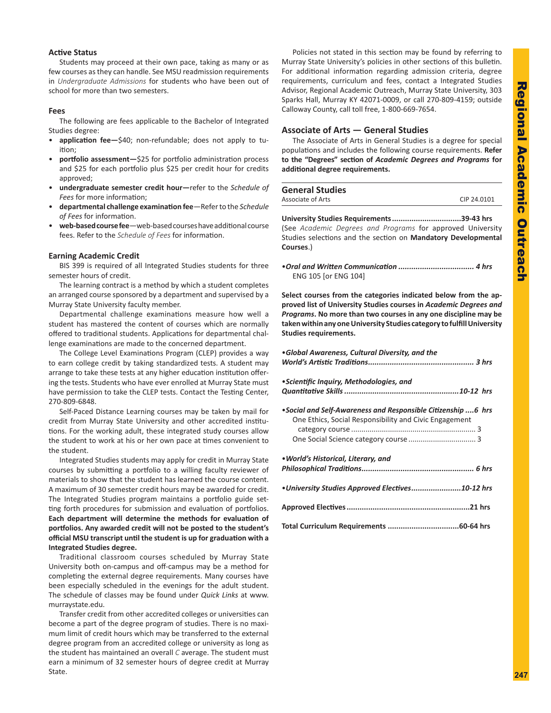# **Regional Academic** Regional Academic Outreach **Outreach**

#### **Active Status**

Students may proceed at their own pace, taking as many or as few courses as they can handle. See MSU readmission requirements in *Undergraduate Admissions* for students who have been out of school for more than two semesters.

#### **Fees**

The following are fees applicable to the Bachelor of Integrated Studies degree:

- **application fee—**\$40; non-refundable; does not apply to tuition;
- **portfolio assessment—**\$25 for portfolio administration process and \$25 for each portfolio plus \$25 per credit hour for credits approved;
- **undergraduate semester credit hour—**refer to the *Schedule of Fees* for more information;
- **departmental challenge examination fee**—Refer to the *Schedule of Fees* for information.
- **web-based course fee**—web-based courses have additional course fees. Refer to the *Schedule of Fees* for information.

#### **Earning Academic Credit**

BIS 399 is required of all Integrated Studies students for three semester hours of credit.

The learning contract is a method by which a student completes an arranged course sponsored by a department and supervised by a Murray State University faculty member.

Departmental challenge examinations measure how well a student has mastered the content of courses which are normally offered to traditional students. Applications for departmental challenge examinations are made to the concerned department.

The College Level Examinations Program (CLEP) provides a way to earn college credit by taking standardized tests. A student may arrange to take these tests at any higher education institution offering the tests. Students who have ever enrolled at Murray State must have permission to take the CLEP tests. Contact the Testing Center, 270-809-6848.

Self-Paced Distance Learning courses may be taken by mail for credit from Murray State University and other accredited institutions. For the working adult, these integrated study courses allow the student to work at his or her own pace at times convenient to the student.

Integrated Studies students may apply for credit in Murray State courses by submitting a portfolio to a willing faculty reviewer of materials to show that the student has learned the course content. A maximum of 30 semester credit hours may be awarded for credit. The Integrated Studies program maintains a portfolio guide setting forth procedures for submission and evaluation of portfolios. **Each department will determine the methods for evaluation of portfolios. Any awarded credit will not be posted to the student's official MSU transcript until the student is up for graduation with a Integrated Studies degree.**

Traditional classroom courses scheduled by Murray State University both on-campus and off-campus may be a method for completing the external degree requirements. Many courses have been especially scheduled in the evenings for the adult student. The schedule of classes may be found under *Quick Links* at www. murraystate.edu.

Transfer credit from other accredited colleges or universities can become a part of the degree program of studies. There is no maximum limit of credit hours which may be transferred to the external degree program from an accredited college or university as long as the student has maintained an overall *C* average. The student must earn a minimum of 32 semester hours of degree credit at Murray State.

Policies not stated in this section may be found by referring to Murray State University's policies in other sections of this bulletin. For additional information regarding admission criteria, degree requirements, curriculum and fees, contact a Integrated Studies Advisor, Regional Academic Outreach, Murray State University, 303 Sparks Hall, Murray KY 42071-0009, or call 270-809-4159; outside Calloway County, call toll free, 1-800-669-7654.

#### **Associate of Arts — General Studies**

The Associate of Arts in General Studies is a degree for special populations and includes the following course requirements. **Refer to the "Degrees" section of** *Academic Degrees and Programs* **for additional degree requirements.**

| <b>General Studies</b> |             |
|------------------------|-------------|
| Associate of Arts      | CIP 24.0101 |

**University Studies Requirements................................39-43 hrs** (See *Academic Degrees and Programs* for approved University Studies selections and the section on **Mandatory Developmental Courses**.)

•*Oral and Written Communication ................................... 4 hrs*  ENG 105 [or ENG 104]

**Select courses from the categories indicated below from the approved list of University Studies courses in** *Academic Degrees and Programs***. No more than two courses in any one discipline may be taken within any one University Studies category to fulfill University Studies requirements.**

| .Global Awareness, Cultural Diversity, and the                                                                         |  |  |
|------------------------------------------------------------------------------------------------------------------------|--|--|
| • Scientific Inquiry, Methodologies, and                                                                               |  |  |
| •Social and Self-Awareness and Responsible Citizenship 6 hrs<br>One Ethics, Social Responsibility and Civic Engagement |  |  |
| . World's Historical, Literary, and                                                                                    |  |  |
| • University Studies Approved Electives10-12 hrs                                                                       |  |  |
|                                                                                                                        |  |  |
|                                                                                                                        |  |  |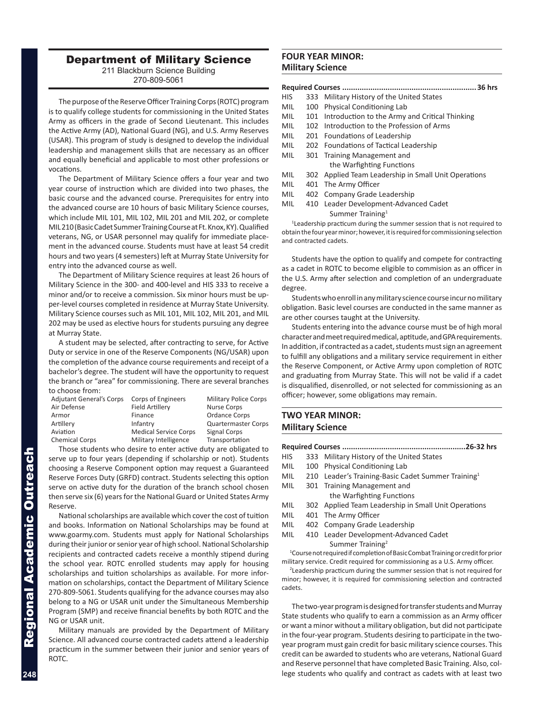# Department of Military Science

211 Blackburn Science Building 270-809-5061

The purpose of the Reserve Officer Training Corps (ROTC) program is to qualify college students for commissioning in the United States Army as officers in the grade of Second Lieutenant. This includes the Active Army (AD), National Guard (NG), and U.S. Army Reserves (USAR). This program of study is designed to develop the individual leadership and management skills that are necessary as an officer and equally beneficial and applicable to most other professions or vocations.

The Department of Military Science offers a four year and two year course of instruction which are divided into two phases, the basic course and the advanced course. Prerequisites for entry into the advanced course are 10 hours of basic Military Science courses, which include MIL 101, MIL 102, MIL 201 and MIL 202, or complete MIL 210 (Basic Cadet Summer Training Course at Ft. Knox, KY). Qualified veterans, NG, or USAR personnel may qualify for immediate placement in the advanced course. Students must have at least 54 credit hours and two years (4 semesters) left at Murray State University for entry into the advanced course as well.

The Department of Military Science requires at least 26 hours of Military Science in the 300- and 400-level and HIS 333 to receive a minor and/or to receive a commission. Six minor hours must be upper-level courses completed in residence at Murray State University. Military Science courses such as MIL 101, MIL 102, MIL 201, and MIL 202 may be used as elective hours for students pursuing any degree at Murray State.

A student may be selected, after contracting to serve, for Active Duty or service in one of the Reserve Components (NG/USAR) upon the completion of the advance course requirements and receipt of a bachelor's degree. The student will have the opportunity to request the branch or "area" for commissioning. There are several branches to choose from:

| <b>Adjutant General's Corps</b> | Corps of Engineers           | <b>Military Police Corps</b> |
|---------------------------------|------------------------------|------------------------------|
| Air Defense                     | <b>Field Artillery</b>       | <b>Nurse Corps</b>           |
| Armor                           | Finance                      | Ordance Corps                |
| Artillery                       | Infantry                     | <b>Quartermaster Corps</b>   |
| Aviation                        | <b>Medical Service Corps</b> | <b>Signal Corps</b>          |
| <b>Chemical Corps</b>           | Military Intelligence        | Transportation               |
|                                 |                              |                              |

Those students who desire to enter active duty are obligated to serve up to four years (depending if scholarship or not). Students choosing a Reserve Component option may request a Guaranteed Reserve Forces Duty (GRFD) contract. Students selecting this option serve on active duty for the duration of the branch school chosen then serve six (6) years for the National Guard or United States Army Reserve.

National scholarships are available which cover the cost of tuition and books. Information on National Scholarships may be found at www.goarmy.com. Students must apply for National Scholarships during their junior or senior year of high school. National Scholarship recipients and contracted cadets receive a monthly stipend during the school year. ROTC enrolled students may apply for housing scholarships and tuition scholarships as available. For more information on scholarships, contact the Department of Military Science 270-809-5061. Students qualifying for the advance courses may also belong to a NG or USAR unit under the Simultaneous Membership Program (SMP) and receive financial benefits by both ROTC and the NG or USAR unit.

Military manuals are provided by the Department of Military Science. All advanced course contracted cadets attend a leadership practicum in the summer between their junior and senior years of ROTC.

#### **FOUR YEAR MINOR: Military Science**

|--|--|

- HIS 333 Military History of the United States
- MIL 100 Physical Conditioning Lab
- MIL 101 Introduction to the Army and Critical Thinking
- MIL 102 Introduction to the Profession of Arms
- MIL 201 Foundations of Leadership
- MIL 202 Foundations of Tactical Leadership
- MIL 301 Training Management and the Warfighting Functions
- MIL 302 Applied Team Leadership in Small Unit Operations
- MIL 401 The Army Officer
- MIL 402 Company Grade Leadership
- MIL 410 Leader Development-Advanced Cadet Summer Training<sup>1</sup>

<sup>1</sup>Leadership practicum during the summer session that is not required to obtain the four year minor; however, it is required for commissioning selection and contracted cadets.

Students have the option to qualify and compete for contracting as a cadet in ROTC to become eligible to commision as an officer in the U.S. Army after selection and completion of an undergraduate degree.

Students who enroll in any military science course incur no military obligation. Basic level courses are conducted in the same manner as are other courses taught at the University.

Students entering into the advance course must be of high moral character and meet required medical, aptitude, and GPA requirements. In addition, if contracted as a cadet, students must sign an agreement to fulfill any obligations and a military service requirement in either the Reserve Component, or Active Army upon completion of ROTC and graduating from Murray State. This will not be valid if a cadet is disqualified, disenrolled, or not selected for commissioning as an officer; however, some obligations may remain.

# **TWO YEAR MINOR: Military Science**

cadets.

| .26-32 hrs                                                                                  |     |                                                            |  |  |
|---------------------------------------------------------------------------------------------|-----|------------------------------------------------------------|--|--|
| <b>HIS</b>                                                                                  | 333 | Military History of the United States                      |  |  |
| <b>MIL</b>                                                                                  | 100 | <b>Physical Conditioning Lab</b>                           |  |  |
| MIL                                                                                         | 210 | Leader's Training-Basic Cadet Summer Training <sup>1</sup> |  |  |
| MIL                                                                                         |     | 301 Training Management and                                |  |  |
|                                                                                             |     | the Warfighting Functions                                  |  |  |
| MIL                                                                                         |     | 302 Applied Team Leadership in Small Unit Operations       |  |  |
| MIL                                                                                         |     | 401 The Army Officer                                       |  |  |
| MIL                                                                                         |     | 402 Company Grade Leadership                               |  |  |
| <b>MIL</b>                                                                                  |     | 410 Leader Development-Advanced Cadet                      |  |  |
| Summer Training <sup>2</sup>                                                                |     |                                                            |  |  |
| <sup>1</sup> Course not required if completion of Basic Combat Training or credit for prior |     |                                                            |  |  |
| military service. Credit required for commissioning as a U.S. Army officer.                 |     |                                                            |  |  |
| <sup>2</sup> Leadership practicum during the summer session that is not required for        |     |                                                            |  |  |
| minor; however, it is required for commissioning selection and contracted                   |     |                                                            |  |  |

The two-year program is designed for transfer students and Murray State students who qualify to earn a commission as an Army officer or want a minor without a military obligation, but did not participate in the four-year program. Students desiring to participate in the twoyear program must gain credit for basic military science courses. This credit can be awarded to students who are veterans, National Guard and Reserve personnel that have completed Basic Training. Also, college students who qualify and contract as cadets with at least two